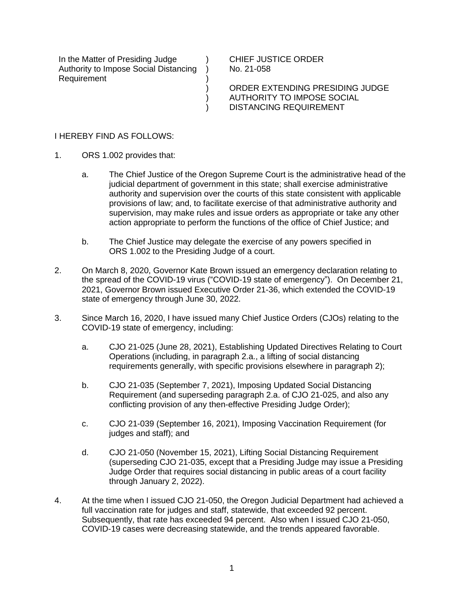In the Matter of Presiding Judge Authority to Impose Social Distancing Requirement

CHIEF JUSTICE ORDER No. 21-058

ORDER EXTENDING PRESIDING JUDGE AUTHORITY TO IMPOSE SOCIAL DISTANCING REQUIREMENT

## I HEREBY FIND AS FOLLOWS:

- 1. ORS 1.002 provides that:
	- a. The Chief Justice of the Oregon Supreme Court is the administrative head of the judicial department of government in this state; shall exercise administrative authority and supervision over the courts of this state consistent with applicable provisions of law; and, to facilitate exercise of that administrative authority and supervision, may make rules and issue orders as appropriate or take any other action appropriate to perform the functions of the office of Chief Justice; and
	- b. The Chief Justice may delegate the exercise of any powers specified in ORS 1.002 to the Presiding Judge of a court.

)  $\lambda$ ) )  $\overline{\mathcal{E}}$ )

- 2. On March 8, 2020, Governor Kate Brown issued an emergency declaration relating to the spread of the COVID-19 virus ("COVID-19 state of emergency"). On December 21, 2021, Governor Brown issued Executive Order 21-36, which extended the COVID-19 state of emergency through June 30, 2022.
- 3. Since March 16, 2020, I have issued many Chief Justice Orders (CJOs) relating to the COVID-19 state of emergency, including:
	- a. CJO 21-025 (June 28, 2021), Establishing Updated Directives Relating to Court Operations (including, in paragraph 2.a., a lifting of social distancing requirements generally, with specific provisions elsewhere in paragraph 2);
	- b. CJO 21-035 (September 7, 2021), Imposing Updated Social Distancing Requirement (and superseding paragraph 2.a. of CJO 21-025, and also any conflicting provision of any then-effective Presiding Judge Order);
	- c. CJO 21-039 (September 16, 2021), Imposing Vaccination Requirement (for judges and staff); and
	- d. CJO 21-050 (November 15, 2021), Lifting Social Distancing Requirement (superseding CJO 21-035, except that a Presiding Judge may issue a Presiding Judge Order that requires social distancing in public areas of a court facility through January 2, 2022).
- 4. At the time when I issued CJO 21-050, the Oregon Judicial Department had achieved a full vaccination rate for judges and staff, statewide, that exceeded 92 percent. Subsequently, that rate has exceeded 94 percent. Also when I issued CJO 21-050, COVID-19 cases were decreasing statewide, and the trends appeared favorable.